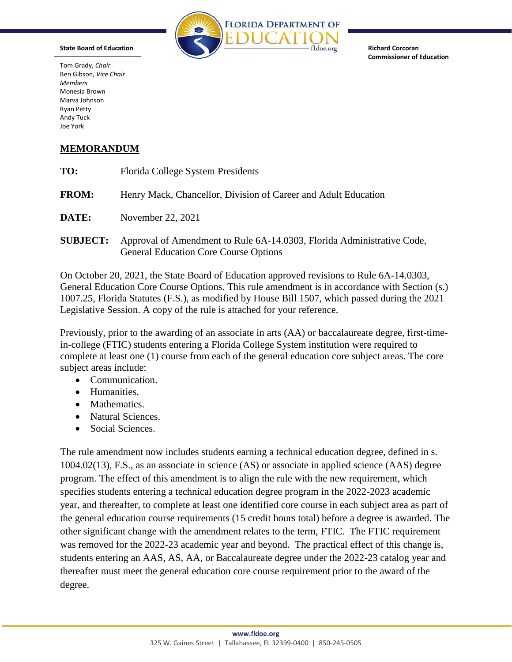

**Richard Corcoran Commissioner of Education**

Tom Grady, *Chair* Ben Gibson, *Vice Chair Members* Monesia Brown Marva Johnson Ryan Petty Andy Tuck Joe York

**State Board of Education**

## **MEMORANDUM**

| TO:             | Florida College System Presidents                                                                                      |
|-----------------|------------------------------------------------------------------------------------------------------------------------|
| <b>FROM:</b>    | Henry Mack, Chancellor, Division of Career and Adult Education                                                         |
| DATE:           | November 22, 2021                                                                                                      |
| <b>SUBJECT:</b> | Approval of Amendment to Rule 6A-14.0303, Florida Administrative Code,<br><b>General Education Core Course Options</b> |

On October 20, 2021, the State Board of Education approved revisions to Rule 6A-14.0303, General Education Core Course Options. This rule amendment is in accordance with Section (s.) 1007.25, Florida Statutes (F.S.), as modified by House Bill 1507, which passed during the 2021 Legislative Session. A copy of the rule is attached for your reference.

Previously, prior to the awarding of an associate in arts (AA) or baccalaureate degree, first-timein-college (FTIC) students entering a Florida College System institution were required to complete at least one (1) course from each of the general education core subject areas. The core subject areas include:

- Communication.
- Humanities.
- Mathematics.
- Natural Sciences.
- Social Sciences.

The rule amendment now includes students earning a technical education degree, defined in s. 1004.02(13), F.S., as an associate in science (AS) or associate in applied science (AAS) degree program. The effect of this amendment is to align the rule with the new requirement, which specifies students entering a technical education degree program in the 2022-2023 academic year, and thereafter, to complete at least one identified core course in each subject area as part of the general education course requirements (15 credit hours total) before a degree is awarded. The other significant change with the amendment relates to the term, FTIC. The FTIC requirement was removed for the 2022-23 academic year and beyond. The practical effect of this change is, students entering an AAS, AS, AA, or Baccalaureate degree under the 2022-23 catalog year and thereafter must meet the general education core course requirement prior to the award of the degree.